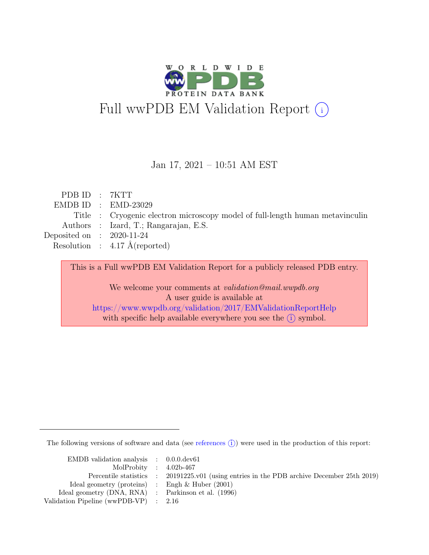

#### Jan 17, 2021 – 10:51 AM EST

| PDB ID : 7KTT               |                                                                               |
|-----------------------------|-------------------------------------------------------------------------------|
|                             | $EMDB ID : EMD-23029$                                                         |
|                             | Title : Cryogenic electron microscopy model of full-length human metavinculin |
|                             | Authors : Izard, T.; Rangarajan, E.S.                                         |
| Deposited on : $2020-11-24$ |                                                                               |
|                             | Resolution : $4.17 \text{ Å}$ (reported)                                      |
|                             |                                                                               |

This is a Full wwPDB EM Validation Report for a publicly released PDB entry. We welcome your comments at *validation@mail.wwpdb.org* A user guide is available at <https://www.wwpdb.org/validation/2017/EMValidationReportHelp> with specific help available everywhere you see the  $(i)$  symbol.

The following versions of software and data (see [references](https://www.wwpdb.org/validation/2017/EMValidationReportHelp#references)  $(i)$ ) were used in the production of this report:

| EMDB validation analysis $\therefore$ 0.0.0.dev61   |                                                                                            |
|-----------------------------------------------------|--------------------------------------------------------------------------------------------|
| MolProbity : $4.02b-467$                            |                                                                                            |
|                                                     | Percentile statistics : 20191225.v01 (using entries in the PDB archive December 25th 2019) |
| Ideal geometry (proteins) : Engh $\&$ Huber (2001)  |                                                                                            |
| Ideal geometry (DNA, RNA) : Parkinson et al. (1996) |                                                                                            |
| Validation Pipeline (wwPDB-VP) $\therefore$ 2.16    |                                                                                            |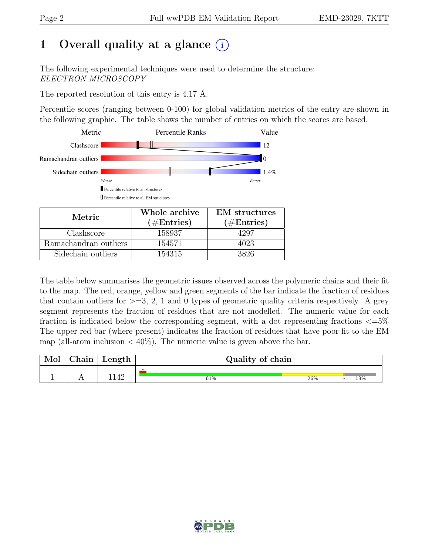## 1 Overall quality at a glance  $(i)$

The following experimental techniques were used to determine the structure: ELECTRON MICROSCOPY

The reported resolution of this entry is 4.17 Å.

Percentile scores (ranging between 0-100) for global validation metrics of the entry are shown in the following graphic. The table shows the number of entries on which the scores are based.



| Metric.               | Whole archive<br>$(\#Entries)$ | <b>EM</b> structures<br>$(\#Entries)$ |
|-----------------------|--------------------------------|---------------------------------------|
| Clashscore            | 158937                         | 4297                                  |
| Ramachandran outliers | 154571                         | 4023                                  |
| Sidechain outliers    | 154315                         | 3826                                  |

The table below summarises the geometric issues observed across the polymeric chains and their fit to the map. The red, orange, yellow and green segments of the bar indicate the fraction of residues that contain outliers for  $\geq$ =3, 2, 1 and 0 types of geometric quality criteria respectively. A grey segment represents the fraction of residues that are not modelled. The numeric value for each fraction is indicated below the corresponding segment, with a dot representing fractions  $\epsilon = 5\%$ The upper red bar (where present) indicates the fraction of residues that have poor fit to the EM map (all-atom inclusion  $\langle 40\% \rangle$ ). The numeric value is given above the bar.

| Mol | ${\rm Chain}$ | Length $\vert$ | Quality of chain |     |     |
|-----|---------------|----------------|------------------|-----|-----|
|     |               |                |                  |     |     |
|     |               | 142            | 61%              | 26% | 13% |

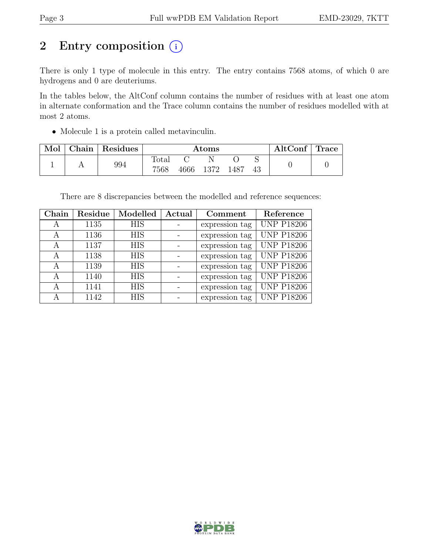## 2 Entry composition (i)

There is only 1 type of molecule in this entry. The entry contains 7568 atoms, of which 0 are hydrogens and 0 are deuteriums.

In the tables below, the AltConf column contains the number of residues with at least one atom in alternate conformation and the Trace column contains the number of residues modelled with at most 2 atoms.

• Molecule 1 is a protein called metavinculin.

| Mol | Chain   Residues |                        | $\rm{Atoms}$ |      | AltConf | Trace |
|-----|------------------|------------------------|--------------|------|---------|-------|
|     | 994              | $\text{Total}$<br>7568 | 4666 1372    | 1487 |         |       |

There are 8 discrepancies between the modelled and reference sequences:

| Chain | Residue | Modelled   | Actual | Comment        | Reference         |
|-------|---------|------------|--------|----------------|-------------------|
| А     | 1135    | <b>HIS</b> |        | expression tag | <b>UNP P18206</b> |
| А     | 1136    | <b>HIS</b> |        | expression tag | <b>UNP P18206</b> |
| А     | 1137    | <b>HIS</b> |        | expression tag | <b>UNP P18206</b> |
| А     | 1138    | <b>HIS</b> |        | expression tag | <b>UNP P18206</b> |
| А     | 1139    | <b>HIS</b> |        | expression tag | <b>UNP P18206</b> |
| А     | 1140    | <b>HIS</b> |        | expression tag | <b>UNP P18206</b> |
| А     | 1141    | <b>HIS</b> |        | expression tag | <b>UNP P18206</b> |
| А     | 1142    | <b>HIS</b> |        | expression tag | <b>UNP P18206</b> |

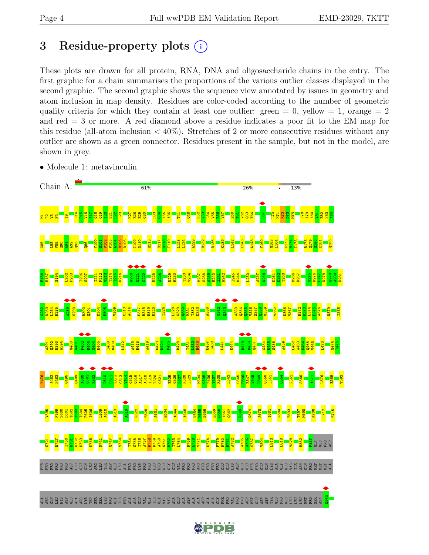## <span id="page-3-0"></span>3 Residue-property plots  $(i)$

These plots are drawn for all protein, RNA, DNA and oligosaccharide chains in the entry. The first graphic for a chain summarises the proportions of the various outlier classes displayed in the second graphic. The second graphic shows the sequence view annotated by issues in geometry and atom inclusion in map density. Residues are color-coded according to the number of geometric quality criteria for which they contain at least one outlier: green  $= 0$ , yellow  $= 1$ , orange  $= 2$ and red = 3 or more. A red diamond above a residue indicates a poor fit to the EM map for this residue (all-atom inclusion  $\langle 40\% \rangle$ ). Stretches of 2 or more consecutive residues without any outlier are shown as a green connector. Residues present in the sample, but not in the model, are shown in grey.

• Molecule 1: metavinculin



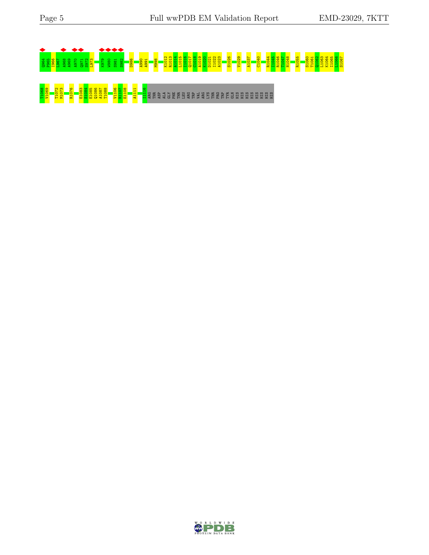

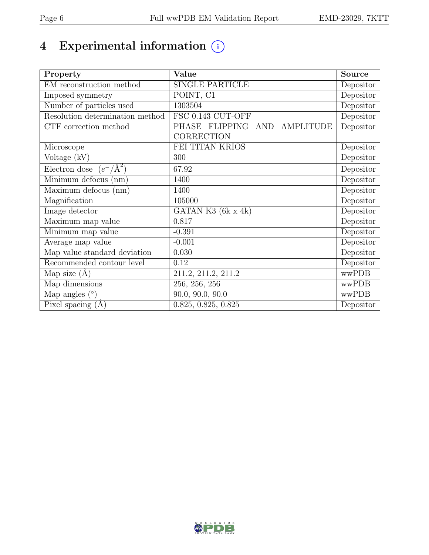# 4 Experimental information  $\bigcirc$

| Property                                  | Value                        | Source    |
|-------------------------------------------|------------------------------|-----------|
| EM reconstruction method                  | <b>SINGLE PARTICLE</b>       | Depositor |
| Imposed symmetry                          | POINT, C1                    | Depositor |
| Number of particles used                  | 1303504                      | Depositor |
| Resolution determination method           | FSC 0.143 CUT-OFF            | Depositor |
| $\overline{\text{CTF}}$ correction method | PHASE FLIPPING AND AMPLITUDE | Depositor |
|                                           | <b>CORRECTION</b>            |           |
| Microscope                                | FEI TITAN KRIOS              | Depositor |
| Voltage (kV)                              | 300                          | Depositor |
| Electron dose $(e^-/\text{\AA}^2)$        | 67.92                        | Depositor |
| Minimum defocus (nm)                      | 1400                         | Depositor |
| Maximum defocus (nm)                      | 1400                         | Depositor |
| Magnification                             | 105000                       | Depositor |
| Image detector                            | GATAN K3 $(6k \times 4k)$    | Depositor |
| Maximum map value                         | 0.817                        | Depositor |
| Minimum map value                         | $-0.391$                     | Depositor |
| Average map value                         | $-0.001$                     | Depositor |
| Map value standard deviation              | 0.030                        | Depositor |
| Recommended contour level                 | 0.12                         | Depositor |
| Map size $(A)$                            | 211.2, 211.2, 211.2          | wwPDB     |
| Map dimensions                            | $\overline{256, 256, 256}$   | wwPDB     |
| Map angles $(°)$                          | 90.0, 90.0, 90.0             | wwPDB     |
| Pixel spacing $(A)$                       | 0.825, 0.825, 0.825          | Depositor |

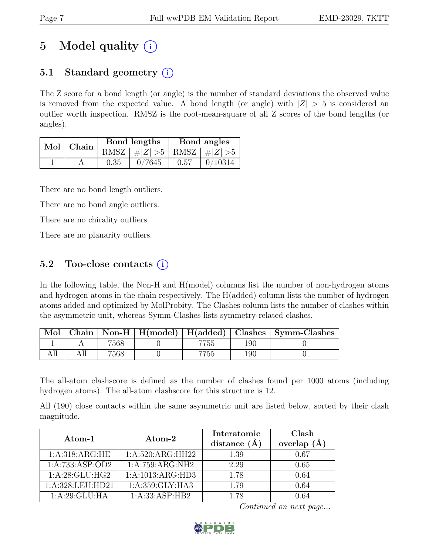## 5 Model quality  $(i)$

## 5.1 Standard geometry  $(i)$

The Z score for a bond length (or angle) is the number of standard deviations the observed value is removed from the expected value. A bond length (or angle) with  $|Z| > 5$  is considered an outlier worth inspection. RMSZ is the root-mean-square of all Z scores of the bond lengths (or angles).

|  | Mol Chain |      | Bond lengths                      | Bond angles |         |
|--|-----------|------|-----------------------------------|-------------|---------|
|  |           |      | RMSZ $ #Z  > 5$   RMSZ $ #Z  > 5$ |             |         |
|  |           | 0.35 | 0/7645                            | 0.57        | 0/10314 |

There are no bond length outliers.

There are no bond angle outliers.

There are no chirality outliers.

There are no planarity outliers.

## 5.2 Too-close contacts  $(i)$

In the following table, the Non-H and H(model) columns list the number of non-hydrogen atoms and hydrogen atoms in the chain respectively. The H(added) column lists the number of hydrogen atoms added and optimized by MolProbity. The Clashes column lists the number of clashes within the asymmetric unit, whereas Symm-Clashes lists symmetry-related clashes.

| Mol |      |     |     | Chain   Non-H   H(model)   H(added)   Clashes   Symm-Clashes |
|-----|------|-----|-----|--------------------------------------------------------------|
|     | 7568 | ÐС  | 190 |                                                              |
|     | 7568 | -55 | 190 |                                                              |

The all-atom clashscore is defined as the number of clashes found per 1000 atoms (including hydrogen atoms). The all-atom clashscore for this structure is 12.

All (190) close contacts within the same asymmetric unit are listed below, sorted by their clash magnitude.

| Atom-1            | Atom-2           | Interatomic<br>distance $(\AA)$ | Clash<br>overlap<br>$(\AA)$ |
|-------------------|------------------|---------------------------------|-----------------------------|
| 1: A:318: ARG: HE | 1:A:520:ARG:HH22 | 1.39                            | 0.67                        |
| 1:A:733:ASP:OD2   | 1:A:759:ARG:NH2  | 2.29                            | 0.65                        |
| 1: A:28: GLU:HG2  | 1:A:1013:ARG:HD3 | 1.78                            | 0.64                        |
| 1:A:328:LEU:HD21  | 1:A:359:GLY:HA3  | 1.79                            | 0.64                        |
| 1: A:29: GLU: HA  | 1:A:33:ASP:HB2   | 1.78                            | ) 64                        |

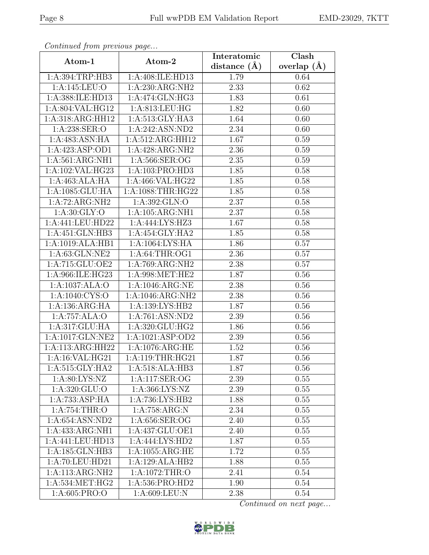| Continuation provides page |                                     | Interatomic       | Clash           |
|----------------------------|-------------------------------------|-------------------|-----------------|
| Atom-1                     | Atom-2                              | distance $(\AA)$  | overlap $(\AA)$ |
| 1:A:394:TRP:HB3            | 1:A:408:ILE:HD13                    | 1.79              | 0.64            |
| 1:A:145:LEU:O              | 1:A:230:ARG:NH2                     | 2.33              | 0.62            |
| 1:A:388:ILE:HD13           | 1: A:474: GLN: HG3                  | 1.83              | 0.61            |
| 1:A:804:VAL:HG12           | 1:A:813:LEU:HG                      | 1.82              | 0.60            |
| 1:A:318:ARG:HH12           | 1:A:513:GLY:HA3                     | 1.64              | 0.60            |
| 1:A:238:SER:O              | 1:A:242:ASN:ND2                     | 2.34              | 0.60            |
| 1:A:483:ASN:HA             | 1:A:512:ARG:HH12                    | 1.67              | 0.59            |
| 1:A:423:ASP:OD1            | 1:A:428:ARG:NH2                     | 2.36              | 0.59            |
| 1:A:561:ARG:NH1            | 1:A:566:SER:OG                      | $\overline{2.35}$ | 0.59            |
| 1:A:102:VAL:HG23           | 1:A:103:PRO:HD3                     | 1.85              | 0.58            |
| 1:A:463:ALA:HA             | 1:A:466:VAL:HG22                    | 1.85              | 0.58            |
| 1:A:1085:GLU:HA            | 1:A:1088:THR:HG22                   | 1.85              | 0.58            |
| 1:A:72:ARG:NH2             | 1: A:392: GLN:O                     | 2.37              | 0.58            |
| 1: A:30: GLY:O             | 1:A:105:ARG:NH1                     | 2.37              | 0.58            |
| 1:A:441:LEU:HD22           | 1:A:444:LYS:HZ3                     | 1.67              | 0.58            |
| 1:A:451:GLN:HB3            | 1:A:454:GLY:HA2                     | 1.85              | 0.58            |
| 1:A:1019:ALA:HB1           | 1:A:1064:LYS:HA                     | 1.86              | 0.57            |
| 1:A:63:GLN:NE2             | 1:A:64:THR:OG1                      | 2.36              | 0.57            |
| 1:A:715:GLU:OE2            | 1:A:769:ARG:NH2                     | 2.38              | 0.57            |
| 1:A:966:ILE:HG23           | 1: A:998: MET:HE2                   | 1.87              | 0.56            |
| 1:A:1037:ALA:O             | 1:A:1046:ARG:NE                     | 2.38              | 0.56            |
| 1:A:1040:CYS:O             | 1:A:1046:ARG:NH2                    | 2.38              | 0.56            |
| 1:A:136:ARG:HA             | 1:A:139:LYS:HB2                     | 1.87              | 0.56            |
| 1:A:757:ALA:O              | 1:A:761:ASN:ND2                     | 2.39              | 0.56            |
| 1:A:317:GLU:HA             | 1:A:320:GLU:HG2                     | 1.86              | 0.56            |
| 1:A:1017:GLN:NE2           | 1:A:1021:ASP:OD2                    | 2.39              | 0.56            |
| 1:A:113:ARG:HH22           | 1:A:1076:ARG:HE                     | 1.52              | 0.56            |
| 1: A:16: VAL: HG21         | 1:A:119:THR:HG21                    | 1.87              | 0.56            |
| 1: A:515: GLY:HA2          | 1:A:518:ALA:HB3                     | 1.87              | 0.56            |
| 1: A:80: LYS: NZ           | 1:A:117:SER:OG                      | 2.39              | 0.55            |
| 1:A:320:GLU:O              | 1:A:366:LYS:NZ                      | 2.39              | 0.55            |
| 1:A:733:ASP:HA             | 1:A:736:LYS:HB2                     | 1.88              | 0.55            |
| 1:A:754:THR:O              | 1: A:758: ARG: N                    | 2.34              | 0.55            |
| 1:A:654:ASN:ND2            | 1:A:656:SER:OG                      | 2.40              | 0.55            |
| 1:A:433:ARG:NH1            | 1:A:437:GLU:OE1                     | 2.40              | 0.55            |
| 1:A:441:LEU:HD13           | 1:A:444:LYS:HD2                     | 1.87              | 0.55            |
| 1:A:185:GLN:HB3            | 1:A:1055:ARG:HE                     | 1.72              | 0.55            |
| 1:A:70:LEU:HD21            | 1:A:129:ALA:HB2                     | 1.88              | 0.55            |
| 1:A:113:ARG:NH2            | 1: A:1072:THR:O                     | 2.41              | 0.54            |
| 1: A: 534: MET: HG2        | 1: A:536: PRO:HD2                   | 1.90              | 0.54            |
| 1:A:605:PRO:O              | $1: A:609: \overline{\text{LEU}:N}$ | 2.38              | 0.54            |

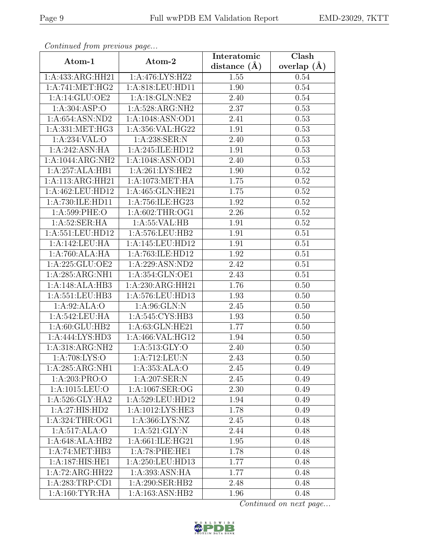| Continuati jibin protibus puga |                  | Interatomic    | $\overline{\text{Clash}}$ |
|--------------------------------|------------------|----------------|---------------------------|
| Atom-1                         | Atom-2           | distance $(A)$ | overlap $(A)$             |
| 1:A:433:ARG:HH21               | 1:A:476:LYS:HZ2  | 1.55           | 0.54                      |
| 1: A:741: MET:HG2              | 1:A:818:LEU:HD11 | 1.90           | 0.54                      |
| 1:A:14:GLU:OE2                 | 1:A:18:GLN:NE2   | 2.40           | 0.54                      |
| 1: A:304: ASP:O                | 1:A:528:ARG:NH2  | 2.37           | 0.53                      |
| 1: A:654: ASN:ND2              | 1:A:1048:ASN:OD1 | 2.41           | 0.53                      |
| 1: A: 331: MET: HG3            | 1:A:356:VAL:HG22 | 1.91           | 0.53                      |
| 1:A:234:VAL:O                  | 1:A:238:SER:N    | 2.40           | 0.53                      |
| 1:A:242:ASN:HA                 | 1:A:245:ILE:HD12 | 1.91           | 0.53                      |
| 1:A:1044:ARG:NH2               | 1:A:1048:ASN:OD1 | 2.40           | 0.53                      |
| 1:A:257:ALA:HB1                | 1: A:261:LYS:HE2 | 1.90           | 0.52                      |
| 1:A:113:ARG:HH21               | 1:A:1073:MET:HA  | 1.75           | 0.52                      |
| 1:A:462:LEU:HD12               | 1:A:465:GLN:HE21 | 1.75           | 0.52                      |
| 1:A:730:ILE:HD11               | 1:A:756:ILE:HG23 | 1.92           | 0.52                      |
| 1:A:599:PHE:O                  | 1: A:602:THR:OG1 | 2.26           | 0.52                      |
| 1:A:52:SER:HA                  | 1:A:55:VAL:HB    | 1.91           | 0.52                      |
| 1:A:551:LEU:HD12               | 1:A:576:LEU:HB2  | 1.91           | 0.51                      |
| 1:A:142:LEU:HA                 | 1:A:145:LEU:HD12 | 1.91           | 0.51                      |
| 1:A:760:ALA:HA                 | 1:A:763:ILE:HD12 | 1.92           | 0.51                      |
| 1:A:225:GLU:OE2                | 1:A:229:ASN:ND2  | 2.42           | 0.51                      |
| 1:A:285:ARG:NH1                | 1:A:354:GLN:OE1  | 2.43           | 0.51                      |
| 1:A:148:ALA:HB3                | 1:A:230:ARG:HH21 | 1.76           | 0.50                      |
| 1: A: 551: LEU: HB3            | 1:A:576:LEU:HD13 | 1.93           | 0.50                      |
| 1:A:92:ALA:O                   | 1: A:96: GLN:N   | 2.45           | 0.50                      |
| 1:A:542:LEU:HA                 | 1:A:545:CYS:HB3  | 1.93           | 0.50                      |
| 1:A:60:GLU:HB2                 | 1:A:63:GLN:HE21  | 1.77           | 0.50                      |
| 1:A:444:LYS:HD3                | 1:A:466:VAL:HG12 | 1.94           | 0.50                      |
| 1:A:318:ARG:NH2                | 1: A:513: GLY:O  | 2.40           | 0.50                      |
| 1: A:708:LYS:O                 | 1:A:712:LEU:N    | 2.43           | 0.50                      |
| $1:A:285:ARG:N\overline{H1}$   | 1:A:353:ALA:O    | 2.45           | 0.49                      |
| 1:A:203:PRO:O                  | 1: A:207: SER: N | 2.45           | 0.49                      |
| 1:A:1015:LEU:O                 | 1:A:1067:SER:OG  | 2.30           | 0.49                      |
| 1: A:526: GLY: HA2             | 1:A:529:LEU:HD12 | 1.94           | 0.49                      |
| 1:A:27:HIS:HD2                 | 1:A:1012:LYS:HE3 | 1.78           | 0.49                      |
| 1:A:324:THR:OG1                | 1:A:366:LYS:NZ   | 2.45           | 0.48                      |
| 1:A:517:ALA:O                  | 1: A:521: GLY: N | 2.44           | 0.48                      |
| 1:A:648:ALA:HB2                | 1:A:661:ILE:HG21 | 1.95           | 0.48                      |
| 1: A:74: MET:HB3               | 1:A:78:PHE:HE1   | 1.78           | 0.48                      |
| 1:A:187:HIS:HE1                | 1:A:250:LEU:HD13 | 1.77           | 0.48                      |
| 1:A:72:ARG:HH22                | 1:A:393:ASN:HA   | 1.77           | 0.48                      |
| 1:A:283:TRP:CD1                | 1:A:290:SER:HB2  | 2.48           | 0.48                      |
| 1: A:160: TYR: HA              | 1:A:163:ASN:HB2  | 1.96           | 0.48                      |

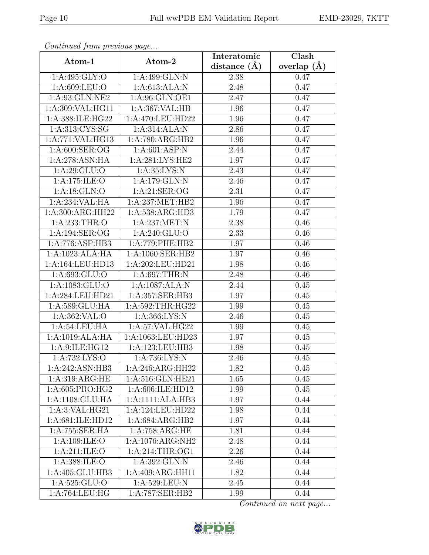| Contentaca from previous page     |                    | Interatomic      | Clash           |
|-----------------------------------|--------------------|------------------|-----------------|
| Atom-1                            | Atom-2             | distance $(\AA)$ | overlap $(\AA)$ |
| $1:A:495:\overline{GLY:O}$        | 1:A:499:GLN:N      | 2.38             | 0.47            |
| 1:A:609:LEU:O                     | 1: A:613:ALA:N     | 2.48             | 0.47            |
| 1:A:93:GLN:NE2                    | 1:A:96:GLN:OE1     | 2.47             | 0.47            |
| 1:A:309:VAL:HG11                  | 1:A:367:VAL:HB     | 1.96             | 0.47            |
| 1:A:388:ILE:HG22                  | 1:A:470:LEU:HD22   | 1.96             | 0.47            |
| 1: A:313: CYS:SG                  | 1:A:314:ALA:N      | 2.86             | 0.47            |
| 1:A:771:VAL:HG13                  | 1:A:780:ARG:HB2    | 1.96             | 0.47            |
| 1: A:600: SER:OG                  | 1: A:601: ASP: N   | 2.44             | 0.47            |
| 1:A:278:ASN:HA                    | 1: A:281:LYS:HE2   | 1.97             | 0.47            |
| 1: A:29: GLU:O                    | 1: A:35: LYS: N    | 2.43             | 0.47            |
| 1:A:175:ILE:O                     | 1:A:179:GLN:N      | 2.46             | 0.47            |
| 1: A:18: GLN:O                    | 1: A:21: SER:OG    | 2.31             | 0.47            |
| 1:A:234:VAL:HA                    | 1:A:237:MET:HB2    | 1.96             | 0.47            |
| $1: A:300: ARG: \overline{HH22}$  | 1: A:538: ARG:HD3  | 1.79             | 0.47            |
| 1:A:233:THR:O                     | 1:A:237:MET:N      | 2.38             | 0.46            |
| 1:A:194:SER:OG                    | 1: A:240: GLU:O    | 2.33             | 0.46            |
| 1:A:776:ASP:HB3                   | 1:A:779:PHE:HB2    | 1.97             | 0.46            |
| 1:A:1023:ALA:HA                   | 1:A:1060:SER:HB2   | 1.97             | 0.46            |
| 1:A:164:LEU:HD13                  | 1:A:202:LEU:HD21   | 1.98             | 0.46            |
| 1: A:693: GLU:O                   | 1: A:697:THR:N     | 2.48             | 0.46            |
| 1: A: 1083: GLU:O                 | 1:A:1087:ALA:N     | 2.44             | 0.45            |
| 1:A:284:LEU:HD21                  | 1:A:357:SER:HB3    | 1.97             | 0.45            |
| 1: A:589: GLU: HA                 | 1: A:592:THR:HG22  | 1.99             | 0.45            |
| 1: A:362: VAL:O                   | 1:A:366:LYS:N      | 2.46             | 0.45            |
| 1:A:54:LEU:HA                     | 1: A:57: VAL: HG22 | 1.99             | 0.45            |
| 1:A:1019:ALA:HA                   | 1:A:1063:LEU:HD23  | 1.97             | 0.45            |
| 1:A:9:ILE:HG12                    | 1:A:123:LEU:HB3    | 1.98             | 0.45            |
| $1:A:732:\overline{\text{LYS:O}}$ | 1: A:736: LYS:N    | 2.46             | 0.45            |
| 1:A:242:ASN:HB3                   | 1:A:246:ARG:HH22   | 1.82             | 0.45            |
| 1:A:319:ARG:HE                    | 1:A:516:GLN:HE21   | 1.65             | 0.45            |
| 1:A:605:PRO:HG2                   | 1:A:606:ILE:HD12   | 1.99             | 0.45            |
| 1:A:1108:GLU:HA                   | 1:A:1111:ALA:HB3   | 1.97             | 0.44            |
| 1:A:3:VAL:HG21                    | 1:A:124:LEU:HD22   | 1.98             | 0.44            |
| 1:A:681:ILE:HD12                  | 1:A:684:ARG:HB2    | 1.97             | 0.44            |
| 1:A:755:SER:HA                    | 1:A:758:ARG:HE     | 1.81             | 0.44            |
| 1: A:109: ILE:O                   | 1:A:1076:ARG:NH2   | 2.48             | 0.44            |
| 1:A:211:ILE:O                     | 1: A:214:THR:OG1   | 2.26             | 0.44            |
| 1:A:388:ILE:O                     | 1:A:392:GLN:N      | 2.46             | 0.44            |
| 1:A:405:GLU:HB3                   | 1:A:409:ARG:HH11   | 1.82             | 0.44            |
| 1:A:525:GLU:O                     | 1:A:529:LEU:N      | 2.45             | 0.44            |
| $1: A:764: LEU: \overline{HG}$    | 1:A:787:SER:HB2    | 1.99             | 0.44            |

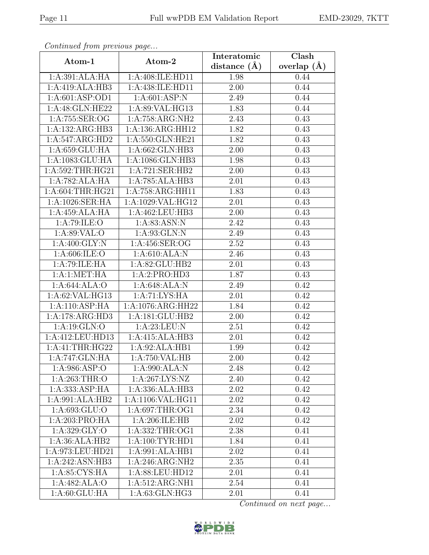| Continua from previous page |                                    | Interatomic       | $\overline{\text{Clash}}$ |
|-----------------------------|------------------------------------|-------------------|---------------------------|
| Atom-1                      | Atom-2                             | distance $(A)$    | overlap $(A)$             |
| 1:A:391:ALA:HA              | 1:A:408:ILE:HD11                   | 1.98              | 0.44                      |
| 1:A:419:ALA:HB3             | 1:A:438:ILE:HD11                   | $\overline{2.00}$ | 0.44                      |
| 1: A:601: ASP:OD1           | 1: A:601: ASP: N                   | 2.49              | 0.44                      |
| 1:A:48:GLN:HE22             | 1:A:89:VAL:HG13                    | 1.83              | 0.44                      |
| 1: A:755: SER:OG            | 1:A:758:ARG:NH2                    | 2.43              | 0.43                      |
| 1:A:132:ARG:HB3             | 1:A:136:ARG:HH12                   | 1.82              | 0.43                      |
| 1:A:547:ARG:HD2             | 1:A:550:GLN:HE21                   | 1.82              | 0.43                      |
| 1:A:659:GLU:HA              | 1:A:662:GLN:HB3                    | 2.00              | 0.43                      |
| 1:A:1083:GLU:HA             | 1:A:1086:GLN:HB3                   | 1.98              | 0.43                      |
| 1: A:592:THR:HG21           | 1:A:721:SER:HB2                    | 2.00              | 0.43                      |
| 1:A:782:ALA:HA              | 1:A:785:ALA:HB3                    | 2.01              | 0.43                      |
| 1:A:604:THR:HG21            | 1:A:758:ARG:HH11                   | 1.83              | 0.43                      |
| 1:A:1026:SER:HA             | 1:A:1029:VAL:HG12                  | 2.01              | 0.43                      |
| 1:A:459:ALA:HA              | 1:A:462:LEU:HB3                    | $2.00\,$          | 0.43                      |
| 1:A:79:ILE:O                | 1: A:83: ASN: N                    | 2.42              | 0.43                      |
| 1: A:89: VAL:O              | 1:A:93:GLN:N                       | 2.49              | 0.43                      |
| 1: A:400: GLY:N             | 1:A:456:SER:OG                     | 2.52              | 0.43                      |
| 1: A:606: ILE: O            | 1: A:610:ALA:N                     | 2.46              | 0.43                      |
| 1:A:79:ILE:HA               | 1:A:82:GLU:HB2                     | 2.01              | 0.43                      |
| 1: A:1: MET:HA              | 1:A:2:PRO:HD3                      | 1.87              | 0.43                      |
| 1:A:644:ALA:O               | 1:A:648:ALA:N                      | 2.49              | 0.42                      |
| 1: A:62: VAL: HG13          | 1:A:71:LYS:HA                      | 2.01              | 0.42                      |
| 1:A:110:ASP:HA              | 1:A:1076:ARG:HH22                  | 1.84              | 0.42                      |
| 1:A:178:ARG:HD3             | 1:A:181:GLU:HB2                    | 2.00              | 0.42                      |
| 1: A: 19: GLN: O            | 1: A:23:LEU: N                     | 2.51              | 0.42                      |
| 1:A:412:LEU:HD13            | 1:A:415:ALA:HB3                    | 2.01              | 0.42                      |
| 1:A:41:THR:HG22             | 1:A:92:ALA:HB1                     | 1.99              | 0.42                      |
| 1:A:747:GLN:HA              | $1:A:750:\overline{\text{VAL:HB}}$ | 2.00              | 0.42                      |
| 1:A:986:ASP:O               | 1:A:990:ALA:N                      | 2.48              | 0.42                      |
| 1: A:263:THR:O              | 1:A:267:LYS:NZ                     | 2.40              | 0.42                      |
| 1:A:333:ASP:HA              | 1:A:336:ALA:HB3                    | 2.02              | 0.42                      |
| 1:A:991:ALA:HB2             | 1:A:1106:VAL:HG11                  | 2.02              | 0.42                      |
| 1:A:693:GLU:O               | 1: A:697:THR:OG1                   | 2.34              | 0.42                      |
| 1:A:203:PRO:HA              | 1:A:206:ILE:HB                     | $2.02\,$          | 0.42                      |
| 1: A:329: GLY:O             | 1:A:332:THR:OG1                    | 2.38              | 0.41                      |
| 1:A:36:ALA:HB2              | 1: A:100: TYR: HD1                 | 1.84              | 0.41                      |
| 1:A:973:LEU:HD21            | 1:A:991:ALA:HB1                    | 2.02              | 0.41                      |
| 1:A:242:ASN:HB3             | 1:A:246:ARG:NH2                    | $2.35\,$          | 0.41                      |
| 1: A:85: CYS:HA             | 1:A:88:LEU:HD12                    | 2.01              | 0.41                      |
| 1:A:482:ALA:O               | 1:A:512:ARG:NH1                    | 2.54              | 0.41                      |
| 1: A:60: GLU: HA            | 1:A:63:GLN:HG3                     | 2.01              | 0.41                      |

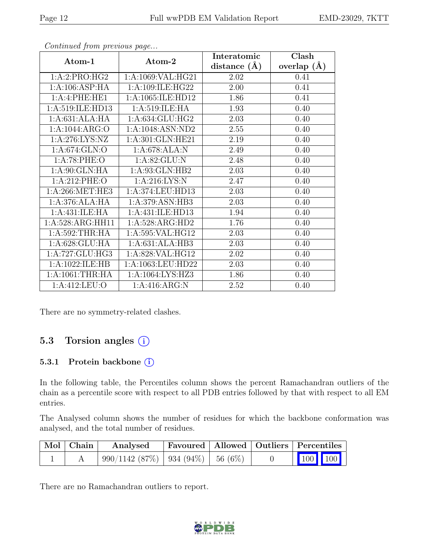| Continuea from previous page |                           | Interatomic    | Clash           |
|------------------------------|---------------------------|----------------|-----------------|
| Atom-1                       | Atom-2                    | distance $(A)$ | overlap $(\AA)$ |
| 1:A:2:PRO:HG2                | 1:A:1069:VAL:HG21         | 2.02           | 0.41            |
| 1:A:106:ASP:HA               | 1:A:109:ILE:HG22          | 2.00           | 0.41            |
| 1:A:4:PHE:HE1                | 1:A:1065:ILE:HD12         | 1.86           | 0.41            |
| 1:A:519:ILE:HD13             | 1:A:519:ILE:HA            | 1.93           | 0.40            |
| 1:A:631:ALA:HA               | 1:A:634:GLU:HG2           | 2.03           | 0.40            |
| 1: A: 1044: ARG: O           | 1:A:1048:ASN:ND2          | 2.55           | 0.40            |
| 1: A:276: LYS: NZ            | 1:A:301:GLN:HE21          | 2.19           | 0.40            |
| 1:A:674:GLN:O                | 1:A:678:ALA:N             | 2.49           | 0.40            |
| 1: A:78: PHE:O               | $1:A:82:GLU:\overline{N}$ | 2.48           | 0.40            |
| 1: A:90: GLN: HA             | 1:A:93:GLN:HB2            | 2.03           | 0.40            |
| 1: A:212: PHE:O              | 1: A:216:LYS:N            | 2.47           | 0.40            |
| 1: A:266: MET:HE3            | 1:A:374:LEU:HD13          | 2.03           | 0.40            |
| 1:A:376:ALA:HA               | 1:A:379:ASN:HB3           | 2.03           | 0.40            |
| 1:A:431:ILE:HA               | 1:A:431:ILE:HD13          | 1.94           | 0.40            |
| 1:A:528:ARG:HH11             | 1:A:528:ARG:HD2           | 1.76           | 0.40            |
| 1: A:592:THR:HA              | 1:A:595:VAL:HG12          | 2.03           | 0.40            |
| 1:A:628:GLU:HA               | 1:A:631:ALA:HB3           | 2.03           | 0.40            |
| 1:A:727:GLU:HG3              | 1:A:828:VAL:HG12          | 2.02           | 0.40            |
| 1:A:1022:ILE:HB              | 1:A:1063:LEU:HD22         | 2.03           | 0.40            |
| 1: A:1061:THR:HA             | 1:A:1064:LYS:HZ3          | 1.86           | 0.40            |
| 1: A: 412: LEU: O            | 1:A:416:ARG:N             | 2.52           | 0.40            |

There are no symmetry-related clashes.

### 5.3 Torsion angles (i)

#### 5.3.1 Protein backbone (i)

In the following table, the Percentiles column shows the percent Ramachandran outliers of the chain as a percentile score with respect to all PDB entries followed by that with respect to all EM entries.

The Analysed column shows the number of residues for which the backbone conformation was analysed, and the total number of residues.

| Mol   Chain | Analysed                                  |  | Favoured   Allowed   Outliers   Percentiles |
|-------------|-------------------------------------------|--|---------------------------------------------|
|             | $990/1142$ (87\%)   934 (94\%)   56 (6\%) |  | $\vert$ 100 100 $\vert$                     |

There are no Ramachandran outliers to report.

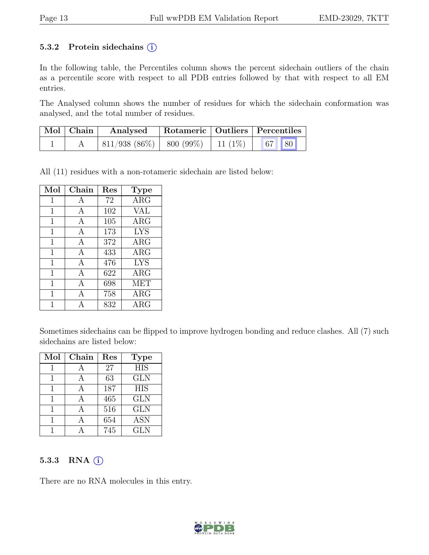#### 5.3.2 Protein sidechains  $(i)$

In the following table, the Percentiles column shows the percent sidechain outliers of the chain as a percentile score with respect to all PDB entries followed by that with respect to all EM entries.

The Analysed column shows the number of residues for which the sidechain conformation was analysed, and the total number of residues.

| Mol   Chain | Analysed                                 | Rotameric   Outliers   Percentiles |  |
|-------------|------------------------------------------|------------------------------------|--|
|             | $811/938$ (86\%)   800 (99\%)   11 (1\%) |                                    |  |

All (11) residues with a non-rotameric sidechain are listed below:

| Mol          | Chain | Res | <b>Type</b> |
|--------------|-------|-----|-------------|
| 1            | A     | 72  | $\rm{ARG}$  |
| 1            | A     | 102 | VAL         |
| $\mathbf{1}$ | А     | 105 | $\rm{ARG}$  |
| 1            | A     | 173 | <b>LYS</b>  |
| 1            | А     | 372 | $\rm{ARG}$  |
| 1            | A     | 433 | $\rm{ARG}$  |
| 1            | А     | 476 | <b>LYS</b>  |
| 1            | A     | 622 | $\rm{ARG}$  |
| 1            | A     | 698 | <b>MET</b>  |
| 1            | A     | 758 | $\rm{ARG}$  |
|              | А     | 832 | $\rm{ARG}$  |

Sometimes sidechains can be flipped to improve hydrogen bonding and reduce clashes. All (7) such sidechains are listed below:

| Mol | Chain | Res | <b>Type</b> |
|-----|-------|-----|-------------|
|     |       | 27  | <b>HIS</b>  |
|     |       | 63  | <b>GLN</b>  |
|     | А     | 187 | <b>HIS</b>  |
|     |       | 465 | <b>GLN</b>  |
|     |       | 516 | <b>GLN</b>  |
|     |       | 654 | <b>ASN</b>  |
|     |       | 745 | <b>GLN</b>  |

#### 5.3.3 RNA  $(i)$

There are no RNA molecules in this entry.

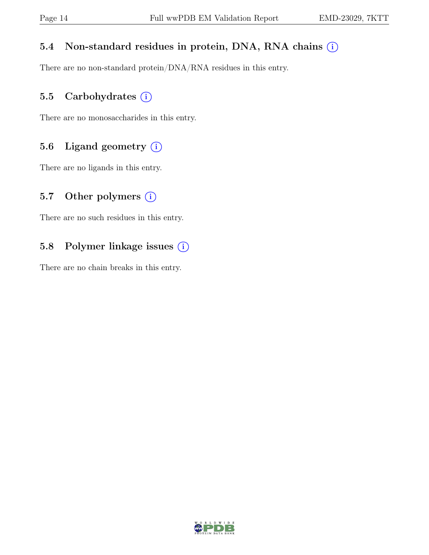### 5.4 Non-standard residues in protein, DNA, RNA chains  $(i)$

There are no non-standard protein/DNA/RNA residues in this entry.

## 5.5 Carbohydrates  $(i)$

There are no monosaccharides in this entry.

## 5.6 Ligand geometry  $(i)$

There are no ligands in this entry.

## 5.7 Other polymers  $(i)$

There are no such residues in this entry.

## 5.8 Polymer linkage issues (i)

There are no chain breaks in this entry.

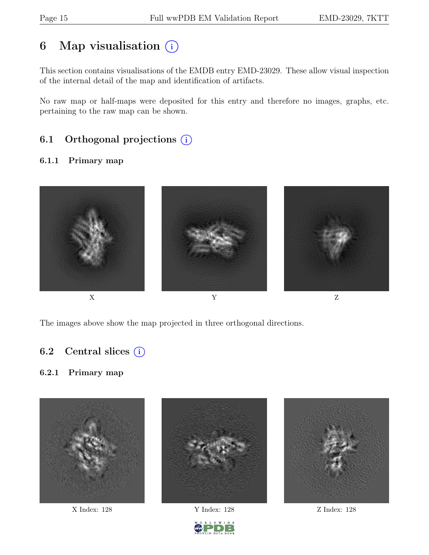## 6 Map visualisation  $(i)$

This section contains visualisations of the EMDB entry EMD-23029. These allow visual inspection of the internal detail of the map and identification of artifacts.

No raw map or half-maps were deposited for this entry and therefore no images, graphs, etc. pertaining to the raw map can be shown.

## 6.1 Orthogonal projections  $(i)$

#### 6.1.1 Primary map



The images above show the map projected in three orthogonal directions.

### 6.2 Central slices  $(i)$

#### 6.2.1 Primary map



D W I D E

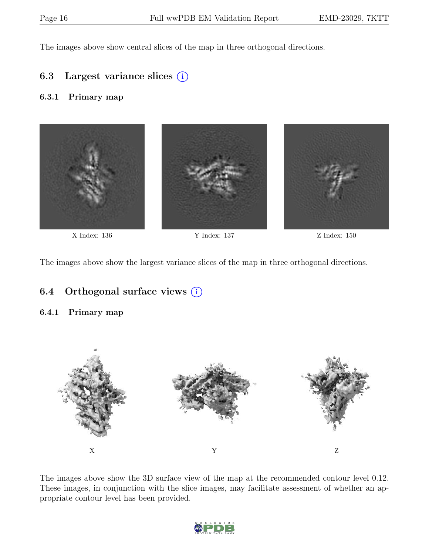The images above show central slices of the map in three orthogonal directions.

### 6.3 Largest variance slices  $(i)$

#### 6.3.1 Primary map



The images above show the largest variance slices of the map in three orthogonal directions.

### 6.4 Orthogonal surface views  $(i)$

#### 6.4.1 Primary map



The images above show the 3D surface view of the map at the recommended contour level 0.12. These images, in conjunction with the slice images, may facilitate assessment of whether an appropriate contour level has been provided.

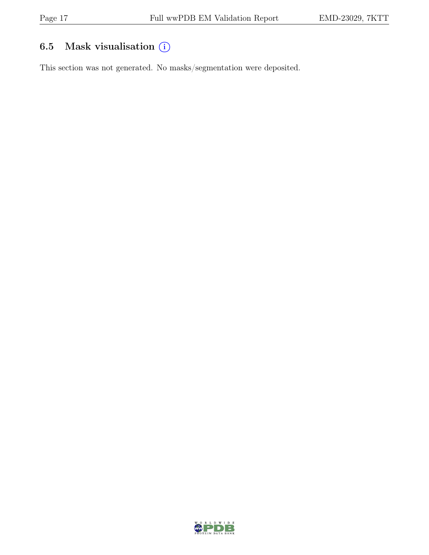## 6.5 Mask visualisation  $(i)$

This section was not generated. No masks/segmentation were deposited.

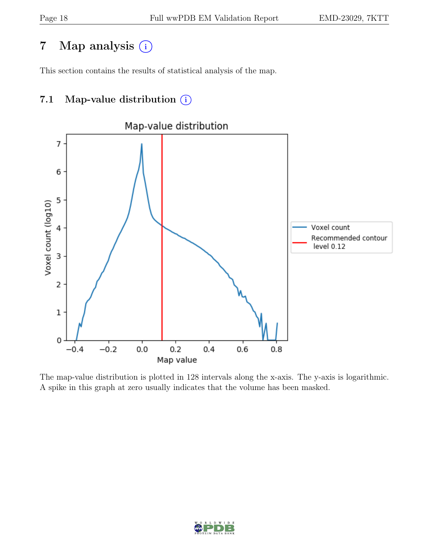## 7 Map analysis (i)

This section contains the results of statistical analysis of the map.

## 7.1 Map-value distribution  $(i)$



The map-value distribution is plotted in 128 intervals along the x-axis. The y-axis is logarithmic. A spike in this graph at zero usually indicates that the volume has been masked.

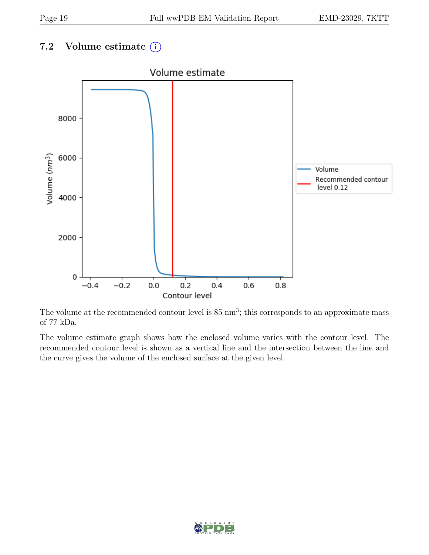## 7.2 Volume estimate  $(i)$



The volume at the recommended contour level is  $85 \text{ nm}^3$ ; this corresponds to an approximate mass of 77 kDa.

The volume estimate graph shows how the enclosed volume varies with the contour level. The recommended contour level is shown as a vertical line and the intersection between the line and the curve gives the volume of the enclosed surface at the given level.

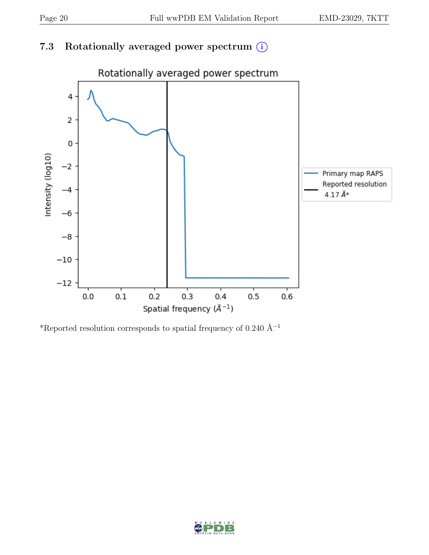## 7.3 Rotationally averaged power spectrum  $(i)$



\*Reported resolution corresponds to spatial frequency of 0.240 Å $^{-1}$ 

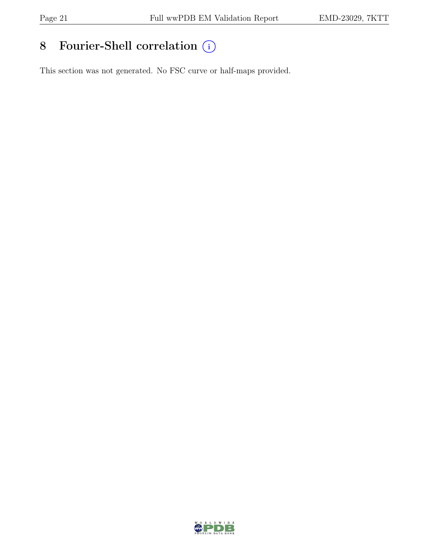# 8 Fourier-Shell correlation  $\bigcirc$

This section was not generated. No FSC curve or half-maps provided.

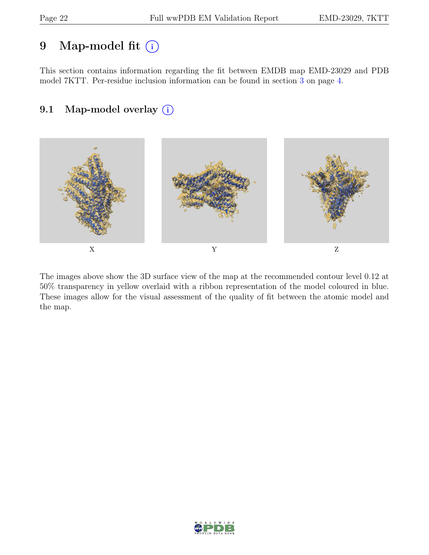## 9 Map-model fit  $(i)$

This section contains information regarding the fit between EMDB map EMD-23029 and PDB model 7KTT. Per-residue inclusion information can be found in section [3](#page-3-0) on page [4.](#page-3-0)

## 9.1 Map-model overlay (i)



The images above show the 3D surface view of the map at the recommended contour level 0.12 at 50% transparency in yellow overlaid with a ribbon representation of the model coloured in blue. These images allow for the visual assessment of the quality of fit between the atomic model and the map.